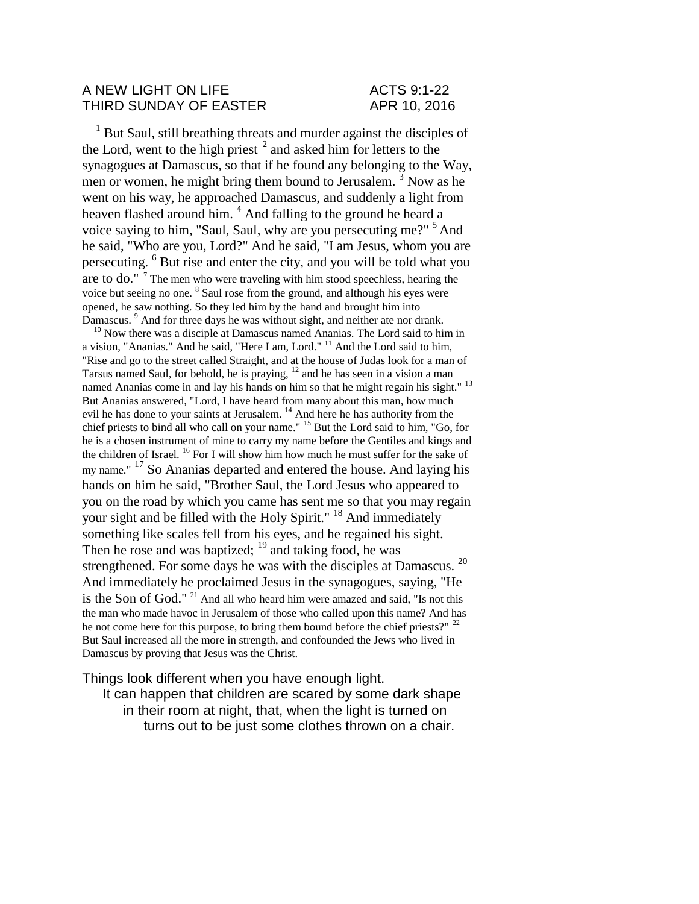## A NEW LIGHT ON LIFE ACTS 9:1-22 THIRD SUNDAY OF EASTER APR 10, 2016

<sup>1</sup> But Saul, still breathing threats and murder against the disciples of the Lord, went to the high priest  $2$  and asked him for letters to the synagogues at Damascus, so that if he found any belonging to the Way, men or women, he might bring them bound to Jerusalem.<sup>3</sup> Now as he went on his way, he approached Damascus, and suddenly a light from heaven flashed around him. <sup>4</sup> And falling to the ground he heard a voice saying to him, "Saul, Saul, why are you persecuting me?"<sup>5</sup> And he said, "Who are you, Lord?" And he said, "I am Jesus, whom you are persecuting. <sup>6</sup> But rise and enter the city, and you will be told what you are to do."  $7$  The men who were traveling with him stood speechless, hearing the voice but seeing no one. <sup>8</sup> Saul rose from the ground, and although his eyes were opened, he saw nothing. So they led him by the hand and brought him into Damascus.<sup>9</sup> And for three days he was without sight, and neither ate nor drank.

<sup>10</sup> Now there was a disciple at Damascus named Ananias. The Lord said to him in a vision, "Ananias." And he said, "Here I am, Lord." <sup>11</sup> And the Lord said to him, "Rise and go to the street called Straight, and at the house of Judas look for a man of Tarsus named Saul, for behold, he is praying, <sup>12</sup> and he has seen in a vision a man named Ananias come in and lay his hands on him so that he might regain his sight." <sup>13</sup> But Ananias answered, "Lord, I have heard from many about this man, how much evil he has done to your saints at Jerusalem. <sup>14</sup> And here he has authority from the chief priests to bind all who call on your name." <sup>15</sup> But the Lord said to him, "Go, for he is a chosen instrument of mine to carry my name before the Gentiles and kings and the children of Israel. <sup>16</sup> For I will show him how much he must suffer for the sake of my name." <sup>17</sup> So Ananias departed and entered the house. And laying his hands on him he said, "Brother Saul, the Lord Jesus who appeared to you on the road by which you came has sent me so that you may regain your sight and be filled with the Holy Spirit." <sup>18</sup> And immediately something like scales fell from his eyes, and he regained his sight. Then he rose and was baptized;  $19$  and taking food, he was strengthened. For some days he was with the disciples at Damascus. <sup>20</sup> And immediately he proclaimed Jesus in the synagogues, saying, "He is the Son of God." <sup>21</sup> And all who heard him were amazed and said, "Is not this the man who made havoc in Jerusalem of those who called upon this name? And has he not come here for this purpose, to bring them bound before the chief priests?" <sup>22</sup> But Saul increased all the more in strength, and confounded the Jews who lived in Damascus by proving that Jesus was the Christ.

Things look different when you have enough light.

It can happen that children are scared by some dark shape in their room at night, that, when the light is turned on turns out to be just some clothes thrown on a chair.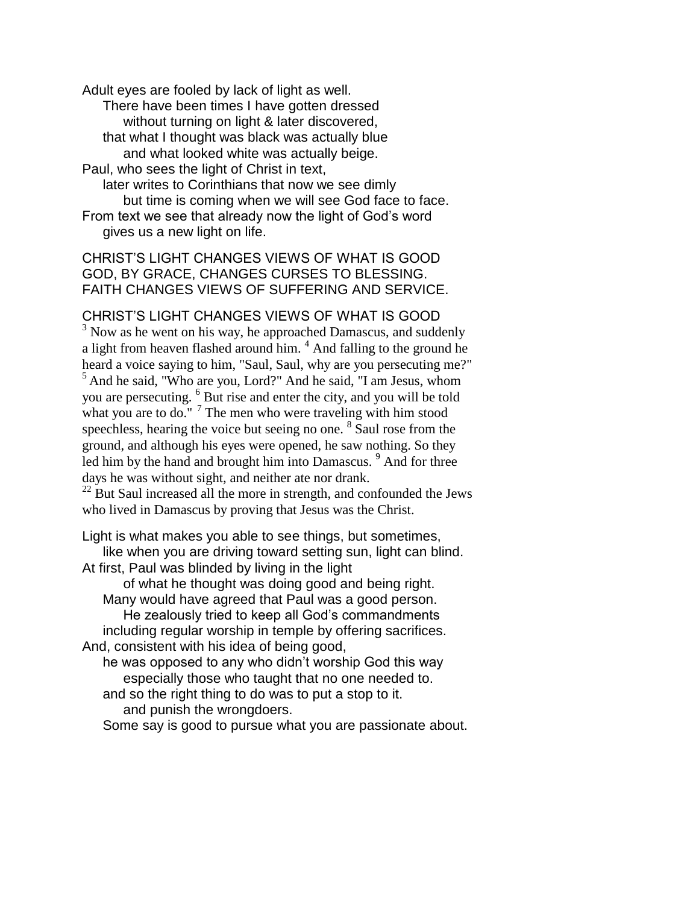Adult eyes are fooled by lack of light as well.

There have been times I have gotten dressed without turning on light & later discovered, that what I thought was black was actually blue

and what looked white was actually beige.

Paul, who sees the light of Christ in text,

later writes to Corinthians that now we see dimly but time is coming when we will see God face to face. From text we see that already now the light of God's word gives us a new light on life.

CHRIST'S LIGHT CHANGES VIEWS OF WHAT IS GOOD GOD, BY GRACE, CHANGES CURSES TO BLESSING. FAITH CHANGES VIEWS OF SUFFERING AND SERVICE.

CHRIST'S LIGHT CHANGES VIEWS OF WHAT IS GOOD

<sup>3</sup> Now as he went on his way, he approached Damascus, and suddenly a light from heaven flashed around him.<sup>4</sup> And falling to the ground he heard a voice saying to him, "Saul, Saul, why are you persecuting me?"  $<sup>5</sup>$  And he said, "Who are you, Lord?" And he said, "I am Jesus, whom</sup> you are persecuting. <sup>6</sup> But rise and enter the city, and you will be told what you are to do."  $7$  The men who were traveling with him stood speechless, hearing the voice but seeing no one. <sup>8</sup> Saul rose from the ground, and although his eyes were opened, he saw nothing. So they led him by the hand and brought him into Damascus. <sup>9</sup> And for three days he was without sight, and neither ate nor drank.

 $^{22}$  But Saul increased all the more in strength, and confounded the Jews who lived in Damascus by proving that Jesus was the Christ.

Light is what makes you able to see things, but sometimes, like when you are driving toward setting sun, light can blind. At first, Paul was blinded by living in the light

of what he thought was doing good and being right. Many would have agreed that Paul was a good person. He zealously tried to keep all God's commandments including regular worship in temple by offering sacrifices. And, consistent with his idea of being good, he was opposed to any who didn't worship God this way

especially those who taught that no one needed to. and so the right thing to do was to put a stop to it.

and punish the wrongdoers.

Some say is good to pursue what you are passionate about.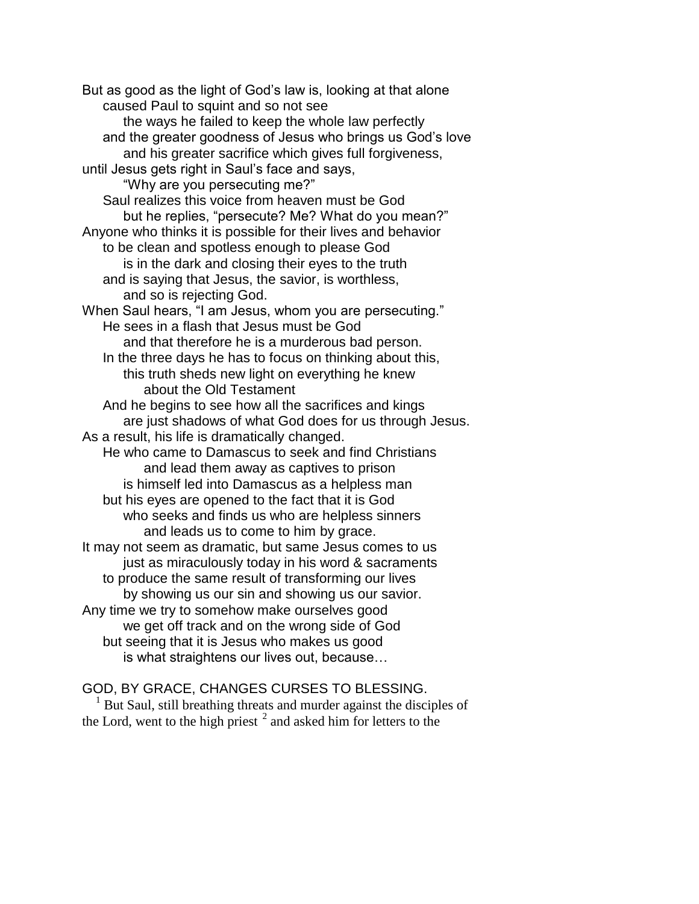But as good as the light of God's law is, looking at that alone caused Paul to squint and so not see the ways he failed to keep the whole law perfectly and the greater goodness of Jesus who brings us God's love and his greater sacrifice which gives full forgiveness, until Jesus gets right in Saul's face and says, "Why are you persecuting me?" Saul realizes this voice from heaven must be God but he replies, "persecute? Me? What do you mean?" Anyone who thinks it is possible for their lives and behavior to be clean and spotless enough to please God is in the dark and closing their eyes to the truth and is saying that Jesus, the savior, is worthless, and so is rejecting God. When Saul hears, "I am Jesus, whom you are persecuting." He sees in a flash that Jesus must be God and that therefore he is a murderous bad person. In the three days he has to focus on thinking about this, this truth sheds new light on everything he knew about the Old Testament And he begins to see how all the sacrifices and kings are just shadows of what God does for us through Jesus. As a result, his life is dramatically changed. He who came to Damascus to seek and find Christians and lead them away as captives to prison is himself led into Damascus as a helpless man but his eyes are opened to the fact that it is God who seeks and finds us who are helpless sinners and leads us to come to him by grace. It may not seem as dramatic, but same Jesus comes to us just as miraculously today in his word & sacraments to produce the same result of transforming our lives by showing us our sin and showing us our savior. Any time we try to somehow make ourselves good we get off track and on the wrong side of God but seeing that it is Jesus who makes us good is what straightens our lives out, because…

## GOD, BY GRACE, CHANGES CURSES TO BLESSING.

 $<sup>1</sup>$  But Saul, still breathing threats and murder against the disciples of</sup> the Lord, went to the high priest  $2$  and asked him for letters to the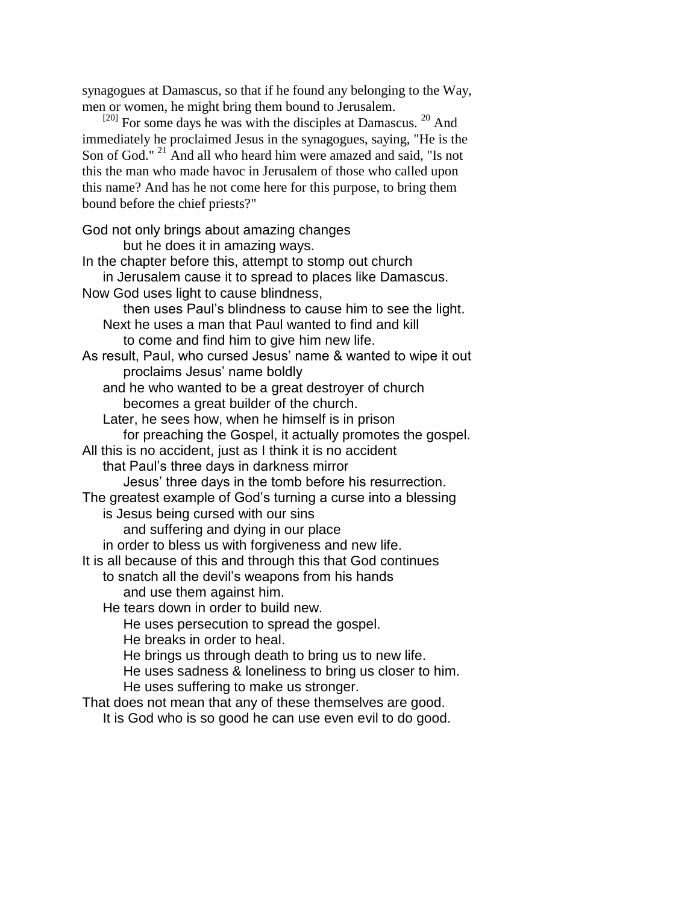synagogues at Damascus, so that if he found any belonging to the Way, men or women, he might bring them bound to Jerusalem.

 $^{[20]}$  For some days he was with the disciples at Damascus.  $^{20}$  And immediately he proclaimed Jesus in the synagogues, saying, "He is the Son of God."<sup>21</sup> And all who heard him were amazed and said, "Is not this the man who made havoc in Jerusalem of those who called upon this name? And has he not come here for this purpose, to bring them bound before the chief priests?"

God not only brings about amazing changes but he does it in amazing ways. In the chapter before this, attempt to stomp out church in Jerusalem cause it to spread to places like Damascus. Now God uses light to cause blindness, then uses Paul's blindness to cause him to see the light. Next he uses a man that Paul wanted to find and kill to come and find him to give him new life. As result, Paul, who cursed Jesus' name & wanted to wipe it out proclaims Jesus' name boldly and he who wanted to be a great destroyer of church becomes a great builder of the church. Later, he sees how, when he himself is in prison for preaching the Gospel, it actually promotes the gospel. All this is no accident, just as I think it is no accident that Paul's three days in darkness mirror Jesus' three days in the tomb before his resurrection. The greatest example of God's turning a curse into a blessing is Jesus being cursed with our sins and suffering and dying in our place in order to bless us with forgiveness and new life. It is all because of this and through this that God continues to snatch all the devil's weapons from his hands and use them against him. He tears down in order to build new. He uses persecution to spread the gospel. He breaks in order to heal. He brings us through death to bring us to new life. He uses sadness & loneliness to bring us closer to him. He uses suffering to make us stronger. That does not mean that any of these themselves are good.

It is God who is so good he can use even evil to do good.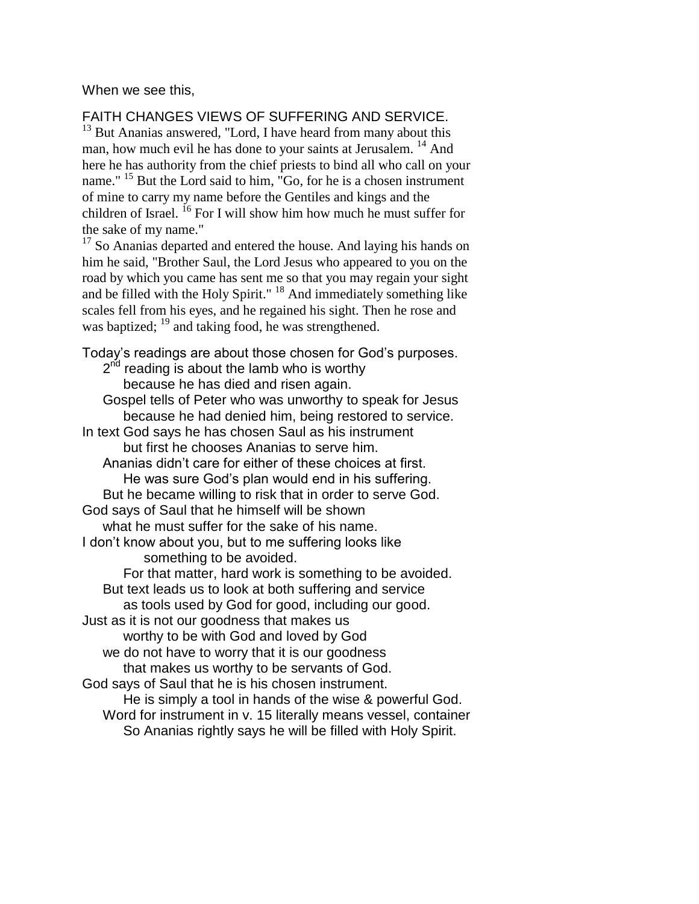When we see this,

FAITH CHANGES VIEWS OF SUFFERING AND SERVICE.

<sup>13</sup> But Ananias answered, "Lord, I have heard from many about this man, how much evil he has done to your saints at Jerusalem.<sup>14</sup> And here he has authority from the chief priests to bind all who call on your name." <sup>15</sup> But the Lord said to him, "Go, for he is a chosen instrument of mine to carry my name before the Gentiles and kings and the children of Israel.  $^{16}$  For I will show him how much he must suffer for the sake of my name."

 $17$  So Ananias departed and entered the house. And laying his hands on him he said, "Brother Saul, the Lord Jesus who appeared to you on the road by which you came has sent me so that you may regain your sight and be filled with the Holy Spirit." <sup>18</sup> And immediately something like scales fell from his eyes, and he regained his sight. Then he rose and was baptized; <sup>19</sup> and taking food, he was strengthened.

Today's readings are about those chosen for God's purposes. 2<sup>nd</sup> reading is about the lamb who is worthy because he has died and risen again. Gospel tells of Peter who was unworthy to speak for Jesus because he had denied him, being restored to service. In text God says he has chosen Saul as his instrument but first he chooses Ananias to serve him. Ananias didn't care for either of these choices at first. He was sure God's plan would end in his suffering. But he became willing to risk that in order to serve God. God says of Saul that he himself will be shown what he must suffer for the sake of his name. I don't know about you, but to me suffering looks like something to be avoided. For that matter, hard work is something to be avoided. But text leads us to look at both suffering and service as tools used by God for good, including our good. Just as it is not our goodness that makes us worthy to be with God and loved by God we do not have to worry that it is our goodness that makes us worthy to be servants of God. God says of Saul that he is his chosen instrument. He is simply a tool in hands of the wise & powerful God. Word for instrument in v. 15 literally means vessel, container So Ananias rightly says he will be filled with Holy Spirit.